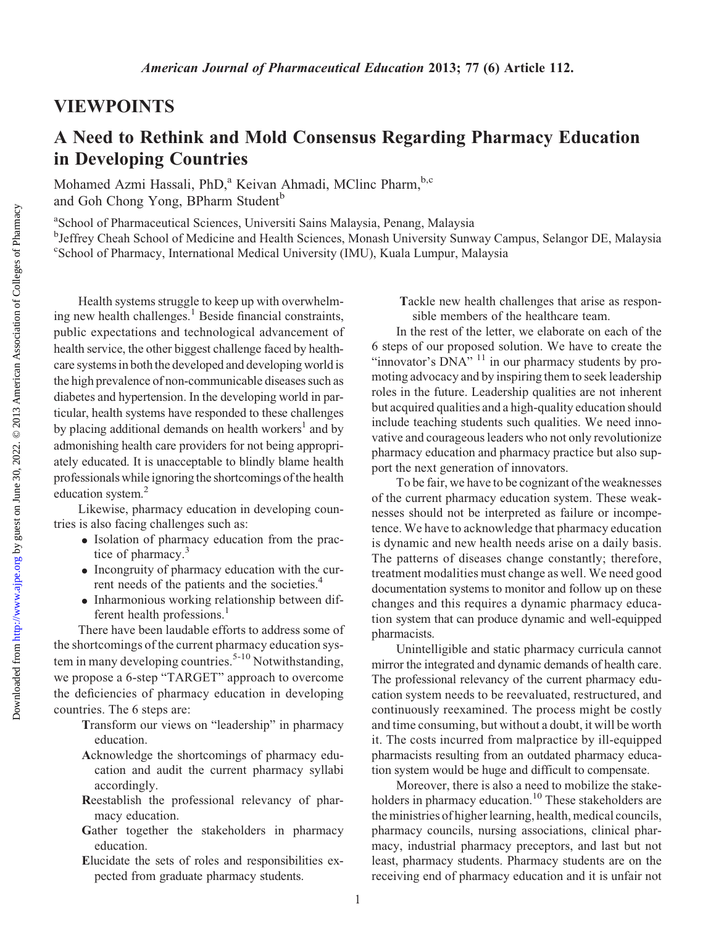## VIEWPOINTS

## A Need to Rethink and Mold Consensus Regarding Pharmacy Education in Developing Countries

Mohamed Azmi Hassali, PhD,<sup>a</sup> Keivan Ahmadi, MClinc Pharm,<sup>b,c</sup> and Goh Chong Yong, BPharm Student<sup>b</sup>

a School of Pharmaceutical Sciences, Universiti Sains Malaysia, Penang, Malaysia

<sup>b</sup>Jeffrey Cheah School of Medicine and Health Sciences, Monash University Sunway Campus, Selangor DE, Malaysia c School of Pharmacy, International Medical University (IMU), Kuala Lumpur, Malaysia

Health systems struggle to keep up with overwhelming new health challenges.<sup>1</sup> Beside financial constraints, public expectations and technological advancement of health service, the other biggest challenge faced by healthcare systems in both the developed and developing world is the high prevalence of non-communicable diseases such as diabetes and hypertension. In the developing world in particular, health systems have responded to these challenges by placing additional demands on health workers<sup>1</sup> and by admonishing health care providers for not being appropriately educated. It is unacceptable to blindly blame health professionals while ignoring the shortcomings of the health education system.<sup>2</sup>

Likewise, pharmacy education in developing countries is also facing challenges such as:

- Isolation of pharmacy education from the practice of pharmacy.<sup>3</sup>
- $\bullet$  Incongruity of pharmacy education with the current needs of the patients and the societies.<sup>4</sup>
- Inharmonious working relationship between different health professions.<sup>1</sup>

There have been laudable efforts to address some of the shortcomings of the current pharmacy education system in many developing countries.<sup>5-10</sup> Notwithstanding, we propose a 6-step "TARGET" approach to overcome the deficiencies of pharmacy education in developing countries. The 6 steps are:

- Transform our views on "leadership" in pharmacy education.
- Acknowledge the shortcomings of pharmacy education and audit the current pharmacy syllabi accordingly.
- Reestablish the professional relevancy of pharmacy education.
- Gather together the stakeholders in pharmacy education.
- Elucidate the sets of roles and responsibilities expected from graduate pharmacy students.

Tackle new health challenges that arise as responsible members of the healthcare team.

In the rest of the letter, we elaborate on each of the 6 steps of our proposed solution. We have to create the "innovator's  $DNA$ " <sup>11</sup> in our pharmacy students by promoting advocacy and by inspiring them to seek leadership roles in the future. Leadership qualities are not inherent but acquired qualities and a high-quality education should include teaching students such qualities. We need innovative and courageous leaders who not only revolutionize pharmacy education and pharmacy practice but also support the next generation of innovators.

To be fair, we have to be cognizant of the weaknesses of the current pharmacy education system. These weaknesses should not be interpreted as failure or incompetence. We have to acknowledge that pharmacy education is dynamic and new health needs arise on a daily basis. The patterns of diseases change constantly; therefore, treatment modalities must change as well. We need good documentation systems to monitor and follow up on these changes and this requires a dynamic pharmacy education system that can produce dynamic and well-equipped pharmacists.

Unintelligible and static pharmacy curricula cannot mirror the integrated and dynamic demands of health care. The professional relevancy of the current pharmacy education system needs to be reevaluated, restructured, and continuously reexamined. The process might be costly and time consuming, but without a doubt, it will be worth it. The costs incurred from malpractice by ill-equipped pharmacists resulting from an outdated pharmacy education system would be huge and difficult to compensate.

Moreover, there is also a need to mobilize the stakeholders in pharmacy education.<sup>10</sup> These stakeholders are the ministries of higher learning, health, medical councils, pharmacy councils, nursing associations, clinical pharmacy, industrial pharmacy preceptors, and last but not least, pharmacy students. Pharmacy students are on the receiving end of pharmacy education and it is unfair not